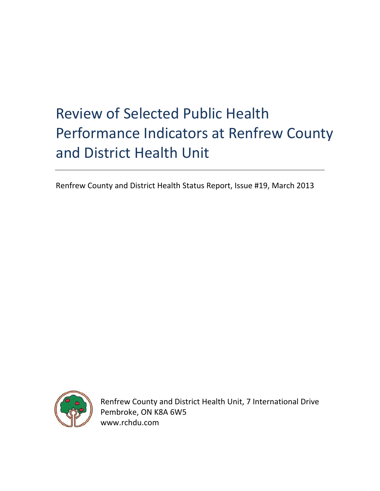Renfrew County and District Health Status Report, Issue #19, March 2013



 Renfrew County and District Health Unit, 7 International Drive Pembroke, ON K8A 6W5 www.rchdu.com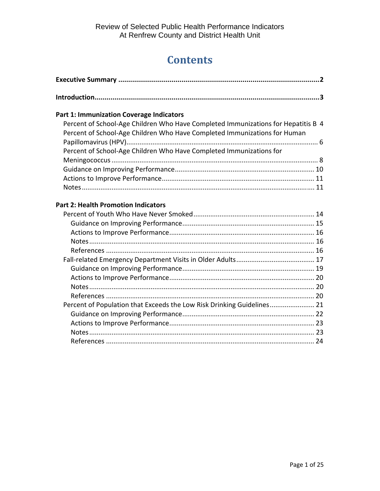# **Contents**

| <b>Part 1: Immunization Coverage Indicators</b>                                                                                                                |  |  |  |  |
|----------------------------------------------------------------------------------------------------------------------------------------------------------------|--|--|--|--|
| Percent of School-Age Children Who Have Completed Immunizations for Hepatitis B 4<br>Percent of School-Age Children Who Have Completed Immunizations for Human |  |  |  |  |
|                                                                                                                                                                |  |  |  |  |
| Percent of School-Age Children Who Have Completed Immunizations for                                                                                            |  |  |  |  |
|                                                                                                                                                                |  |  |  |  |
|                                                                                                                                                                |  |  |  |  |
| <b>Part 2: Health Promotion Indicators</b>                                                                                                                     |  |  |  |  |
|                                                                                                                                                                |  |  |  |  |
|                                                                                                                                                                |  |  |  |  |
|                                                                                                                                                                |  |  |  |  |
|                                                                                                                                                                |  |  |  |  |
|                                                                                                                                                                |  |  |  |  |
|                                                                                                                                                                |  |  |  |  |
|                                                                                                                                                                |  |  |  |  |
|                                                                                                                                                                |  |  |  |  |
|                                                                                                                                                                |  |  |  |  |
| Percent of Population that Exceeds the Low Risk Drinking Guidelines 21                                                                                         |  |  |  |  |
|                                                                                                                                                                |  |  |  |  |
|                                                                                                                                                                |  |  |  |  |
|                                                                                                                                                                |  |  |  |  |
|                                                                                                                                                                |  |  |  |  |
|                                                                                                                                                                |  |  |  |  |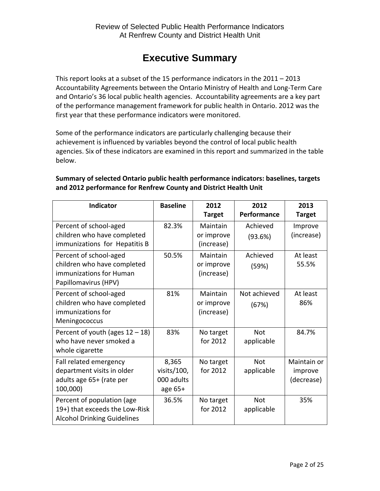# **Executive Summary**

This report looks at a subset of the 15 performance indicators in the 2011 – 2013 Accountability Agreements between the Ontario Ministry of Health and Long‐Term Care and Ontario's 36 local public health agencies. Accountability agreements are a key part of the performance management framework for public health in Ontario. 2012 was the first year that these performance indicators were monitored.

Some of the performance indicators are particularly challenging because their achievement is influenced by variables beyond the control of local public health agencies. Six of these indicators are examined in this report and summarized in the table below.

| <b>Indicator</b>                                                                                         | <b>Baseline</b>                               | 2012<br><b>Target</b>                | 2012<br>Performance      | 2013<br><b>Target</b>                |
|----------------------------------------------------------------------------------------------------------|-----------------------------------------------|--------------------------------------|--------------------------|--------------------------------------|
| Percent of school-aged<br>children who have completed<br>immunizations for Hepatitis B                   | 82.3%                                         | Maintain<br>or improve<br>(increase) | Achieved<br>(93.6%)      | Improve<br>(increase)                |
| Percent of school-aged<br>children who have completed<br>immunizations for Human<br>Papillomavirus (HPV) | 50.5%                                         | Maintain<br>or improve<br>(increase) | Achieved<br>(59%)        | At least<br>55.5%                    |
| Percent of school-aged<br>children who have completed<br>immunizations for<br>Meningococcus              | 81%                                           | Maintain<br>or improve<br>(increase) | Not achieved<br>(67%)    | At least<br>86%                      |
| Percent of youth (ages $12 - 18$ )<br>who have never smoked a<br>whole cigarette                         | 83%                                           | No target<br>for 2012                | <b>Not</b><br>applicable | 84.7%                                |
| Fall related emergency<br>department visits in older<br>adults age 65+ (rate per<br>100,000)             | 8,365<br>visits/100,<br>000 adults<br>age 65+ | No target<br>for 2012                | <b>Not</b><br>applicable | Maintain or<br>improve<br>(decrease) |
| Percent of population (age<br>19+) that exceeds the Low-Risk<br><b>Alcohol Drinking Guidelines</b>       | 36.5%                                         | No target<br>for 2012                | <b>Not</b><br>applicable | 35%                                  |

### **Summary of selected Ontario public health performance indicators: baselines, targets and 2012 performance for Renfrew County and District Health Unit**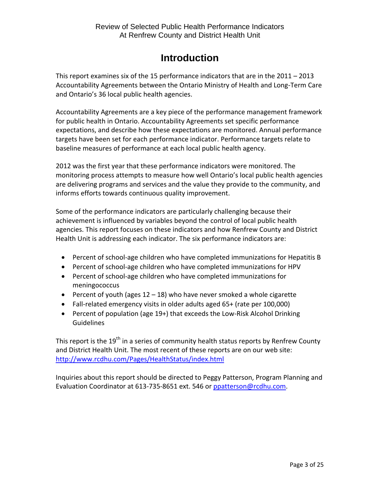# **Introduction**

This report examines six of the 15 performance indicators that are in the 2011 – 2013 Accountability Agreements between the Ontario Ministry of Health and Long‐Term Care and Ontario's 36 local public health agencies.

Accountability Agreements are a key piece of the performance management framework for public health in Ontario. Accountability Agreements set specific performance expectations, and describe how these expectations are monitored. Annual performance targets have been set for each performance indicator. Performance targets relate to baseline measures of performance at each local public health agency.

2012 was the first year that these performance indicators were monitored. The monitoring process attempts to measure how well Ontario's local public health agencies are delivering programs and services and the value they provide to the community, and informs efforts towards continuous quality improvement.

Some of the performance indicators are particularly challenging because their achievement is influenced by variables beyond the control of local public health agencies. This report focuses on these indicators and how Renfrew County and District Health Unit is addressing each indicator. The six performance indicators are:

- Percent of school‐age children who have completed immunizations for Hepatitis B
- Percent of school‐age children who have completed immunizations for HPV
- Percent of school‐age children who have completed immunizations for meningococcus
- Percent of youth (ages 12 18) who have never smoked a whole cigarette
- Fall-related emergency visits in older adults aged 65+ (rate per 100,000)
- Percent of population (age 19+) that exceeds the Low‐Risk Alcohol Drinking Guidelines

This report is the  $19<sup>th</sup>$  in a series of community health status reports by Renfrew County and District Health Unit. The most recent of these reports are on our web site: http://www.rcdhu.com/Pages/HealthStatus/index.html

Inquiries about this report should be directed to Peggy Patterson, Program Planning and Evaluation Coordinator at 613-735-8651 ext. 546 or ppatterson@rcdhu.com.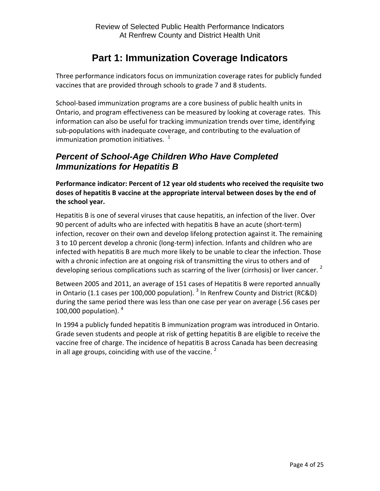# **Part 1: Immunization Coverage Indicators**

Three performance indicators focus on immunization coverage rates for publicly funded vaccines that are provided through schools to grade 7 and 8 students.

School‐based immunization programs are a core business of public health units in Ontario, and program effectiveness can be measured by looking at coverage rates. This information can also be useful for tracking immunization trends over time, identifying sub‐populations with inadequate coverage, and contributing to the evaluation of immunization promotion initiatives.  $1$ 

# *Percent of School-Age Children Who Have Completed Immunizations for Hepatitis B*

**Performance indicator: Percent of 12 year old students who received the requisite two doses of hepatitis B vaccine at the appropriate interval between doses by the end of the school year.** 

Hepatitis B is one of several viruses that cause hepatitis, an infection of the liver. Over 90 percent of adults who are infected with hepatitis B have an acute (short‐term) infection, recover on their own and develop lifelong protection against it. The remaining 3 to 10 percent develop a chronic (long‐term) infection. Infants and children who are infected with hepatitis B are much more likely to be unable to clear the infection. Those with a chronic infection are at ongoing risk of transmitting the virus to others and of developing serious complications such as scarring of the liver (cirrhosis) or liver cancer.  $2$ 

Between 2005 and 2011, an average of 151 cases of Hepatitis B were reported annually in Ontario (1.1 cases per 100,000 population).  $3$  In Renfrew County and District (RC&D) during the same period there was less than one case per year on average (.56 cases per 100,000 population).  $4\overline{ }$ 

In 1994 a publicly funded hepatitis B immunization program was introduced in Ontario. Grade seven students and people at risk of getting hepatitis B are eligible to receive the vaccine free of charge. The incidence of hepatitis B across Canada has been decreasing in all age groups, coinciding with use of the vaccine.  $2^2$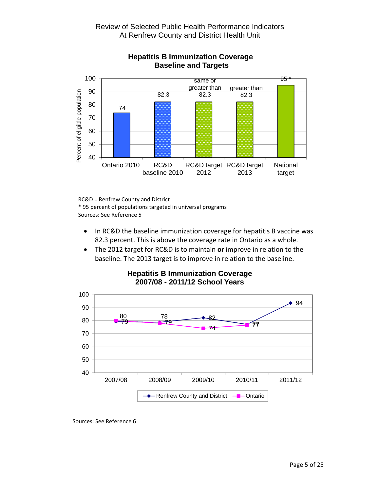

# **Hepatitis B Immunization Coverage Baseline and Targets**

RC&D = Renfrew County and District \* 95 percent of populations targeted in universal programs Sources: See Reference 5

- In RC&D the baseline immunization coverage for hepatitis B vaccine was 82.3 percent. This is above the coverage rate in Ontario as a whole.
- The 2012 target for RC&D is to maintain **or** improve in relation to the baseline. The 2013 target is to improve in relation to the baseline.



### **Hepatitis B Immunization Coverage 2007/08 - 2011/12 School Years**

Sources: See Reference 6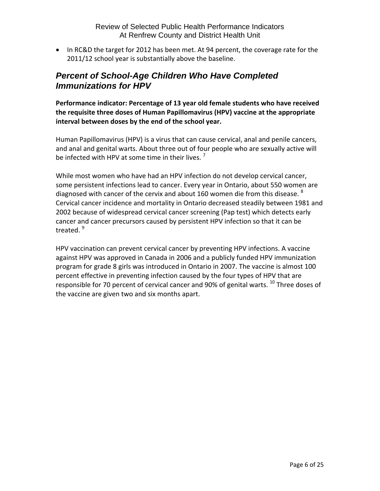• In RC&D the target for 2012 has been met. At 94 percent, the coverage rate for the 2011/12 school year is substantially above the baseline.

# *Percent of School-Age Children Who Have Completed Immunizations for HPV*

**Performance indicator: Percentage of 13 year old female students who have received the requisite three doses of Human Papillomavirus (HPV) vaccine at the appropriate interval between doses by the end of the school year.**

Human Papillomavirus (HPV) is a virus that can cause cervical, anal and penile cancers, and anal and genital warts. About three out of four people who are sexually active will be infected with HPV at some time in their lives.<sup>7</sup>

While most women who have had an HPV infection do not develop cervical cancer, some persistent infections lead to cancer. Every year in Ontario, about 550 women are diagnosed with cancer of the cervix and about 160 women die from this disease.  $8$ Cervical cancer incidence and mortality in Ontario decreased steadily between 1981 and 2002 because of widespread cervical cancer screening (Pap test) which detects early cancer and cancer precursors caused by persistent HPV infection so that it can be treated.<sup>9</sup>

HPV vaccination can prevent cervical cancer by preventing HPV infections. A vaccine against HPV was approved in Canada in 2006 and a publicly funded HPV immunization program for grade 8 girls was introduced in Ontario in 2007. The vaccine is almost 100 percent effective in preventing infection caused by the four types of HPV that are responsible for 70 percent of cervical cancer and 90% of genital warts. <sup>10</sup> Three doses of the vaccine are given two and six months apart.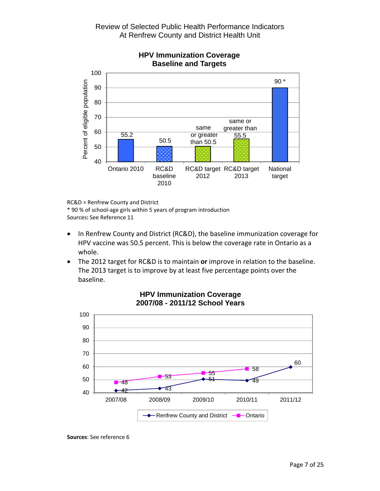

### **HPV Immunization Coverage Baseline and Targets**

RC&D = Renfrew County and District

\* 90 % of school‐age girls within 5 years of program introduction Sources**:** See Reference 11

- In Renfrew County and District (RC&D), the baseline immunization coverage for HPV vaccine was 50.5 percent. This is below the coverage rate in Ontario as a whole.
- The 2012 target for RC&D is to maintain **or** improve in relation to the baseline. The 2013 target is to improve by at least five percentage points over the baseline.



### **HPV Immunization Coverage 2007/08 - 2011/12 School Years**

**Sources**: See reference 6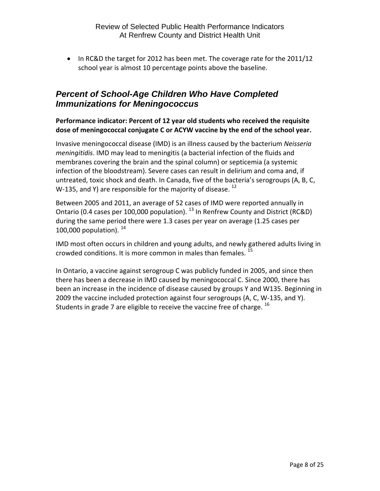• In RC&D the target for 2012 has been met. The coverage rate for the 2011/12 school year is almost 10 percentage points above the baseline.

# *Percent of School-Age Children Who Have Completed Immunizations for Meningococcus*

## **Performance indicator: Percent of 12 year old students who received the requisite dose of meningococcal conjugate C or ACYW vaccine by the end of the school year.**

Invasive meningococcal disease (IMD) is an illness caused by the bacterium *Neisseria meningitidis*. IMD may lead to meningitis (a bacterial infection of the fluids and membranes covering the brain and the spinal column) or septicemia (a systemic infection of the bloodstream). Severe cases can result in delirium and coma and, if untreated, toxic shock and death. In Canada, five of the bacteria's serogroups (A, B, C, W-135, and Y) are responsible for the majority of disease.  $^{12}$ 

Between 2005 and 2011, an average of 52 cases of IMD were reported annually in Ontario (0.4 cases per 100,000 population).  $^{13}$  In Renfrew County and District (RC&D) during the same period there were 1.3 cases per year on average (1.25 cases per 100,000 population).  $^{14}$ 

IMD most often occurs in children and young adults, and newly gathered adults living in crowded conditions. It is more common in males than females. <sup>15</sup>

In Ontario, a vaccine against serogroup C was publicly funded in 2005, and since then there has been a decrease in IMD caused by meningococcal C. Since 2000, there has been an increase in the incidence of disease caused by groups Y and W135. Beginning in 2009 the vaccine included protection against four serogroups (A, C, W‐135, and Y). Students in grade 7 are eligible to receive the vaccine free of charge.  $^{16}$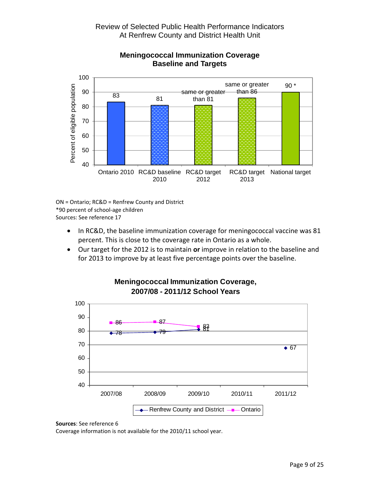

### **Meningococcal Immunization Coverage Baseline and Targets**

ON = Ontario; RC&D = Renfrew County and District \*90 percent of school‐age children Sources: See reference 17

- In RC&D, the baseline immunization coverage for meningococcal vaccine was 81 percent. This is close to the coverage rate in Ontario as a whole.
- Our target for the 2012 is to maintain **or** improve in relation to the baseline and for 2013 to improve by at least five percentage points over the baseline.



# **Meningococcal Immunization Coverage, 2007/08 - 2011/12 School Years**

### **Sources**: See reference 6

Coverage information is not available for the 2010/11 school year.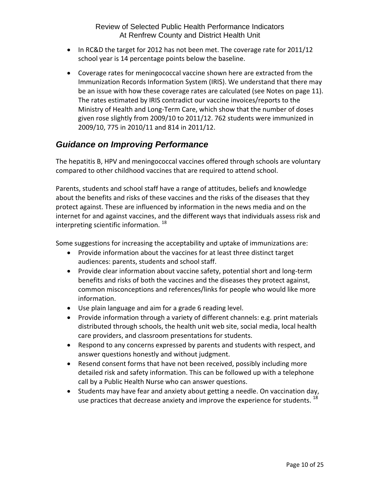- In RC&D the target for 2012 has not been met. The coverage rate for 2011/12 school year is 14 percentage points below the baseline.
- Coverage rates for meningococcal vaccine shown here are extracted from the Immunization Records Information System (IRIS). We understand that there may be an issue with how these coverage rates are calculated (see Notes on page 11). The rates estimated by IRIS contradict our vaccine invoices/reports to the Ministry of Health and Long‐Term Care, which show that the number of doses given rose slightly from 2009/10 to 2011/12. 762 students were immunized in 2009/10, 775 in 2010/11 and 814 in 2011/12.

# *Guidance on Improving Performance*

The hepatitis B, HPV and meningococcal vaccines offered through schools are voluntary compared to other childhood vaccines that are required to attend school.

Parents, students and school staff have a range of attitudes, beliefs and knowledge about the benefits and risks of these vaccines and the risks of the diseases that they protect against. These are influenced by information in the news media and on the internet for and against vaccines, and the different ways that individuals assess risk and interpreting scientific information.<sup>18</sup>

Some suggestions for increasing the acceptability and uptake of immunizations are:

- Provide information about the vaccines for at least three distinct target audiences: parents, students and school staff.
- Provide clear information about vaccine safety, potential short and long‐term benefits and risks of both the vaccines and the diseases they protect against, common misconceptions and references/links for people who would like more information.
- Use plain language and aim for a grade 6 reading level.
- Provide information through a variety of different channels: e.g. print materials distributed through schools, the health unit web site, social media, local health care providers, and classroom presentations for students.
- Respond to any concerns expressed by parents and students with respect, and answer questions honestly and without judgment.
- Resend consent forms that have not been received, possibly including more detailed risk and safety information. This can be followed up with a telephone call by a Public Health Nurse who can answer questions.
- Students may have fear and anxiety about getting a needle. On vaccination day, use practices that decrease anxiety and improve the experience for students.  $^{18}$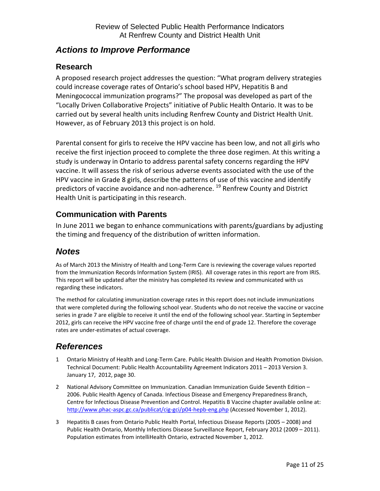# *Actions to Improve Performance*

# **Research**

A proposed research project addresses the question: "What program delivery strategies could increase coverage rates of Ontario's school based HPV, Hepatitis B and Meningococcal immunization programs?" The proposal was developed as part of the "Locally Driven Collaborative Projects" initiative of Public Health Ontario. It was to be carried out by several health units including Renfrew County and District Health Unit. However, as of February 2013 this project is on hold.

Parental consent for girls to receive the HPV vaccine has been low, and not all girls who receive the first injection proceed to complete the three dose regimen. At this writing a study is underway in Ontario to address parental safety concerns regarding the HPV vaccine. It will assess the risk of serious adverse events associated with the use of the HPV vaccine in Grade 8 girls, describe the patterns of use of this vaccine and identify predictors of vaccine avoidance and non-adherence. <sup>19</sup> Renfrew County and District Health Unit is participating in this research.

# **Communication with Parents**

In June 2011 we began to enhance communications with parents/guardians by adjusting the timing and frequency of the distribution of written information.

# *Notes*

As of March 2013 the Ministry of Health and Long‐Term Care is reviewing the coverage values reported from the Immunization Records Information System (IRIS). All coverage rates in this report are from IRIS. This report will be updated after the ministry has completed its review and communicated with us regarding these indicators.

The method for calculating immunization coverage rates in this report does not include immunizations that were completed during the following school year. Students who do not receive the vaccine or vaccine series in grade 7 are eligible to receive it until the end of the following school year. Starting in September 2012, girls can receive the HPV vaccine free of charge until the end of grade 12. Therefore the coverage rates are under‐estimates of actual coverage.

# *References*

- 1 Ontario Ministry of Health and Long‐Term Care. Public Health Division and Health Promotion Division. Technical Document: Public Health Accountability Agreement Indicators 2011 – 2013 Version 3. January 17, 2012, page 30.
- 2 National Advisory Committee on Immunization. Canadian Immunization Guide Seventh Edition 2006. Public Health Agency of Canada. Infectious Disease and Emergency Preparedness Branch, Centre for Infectious Disease Prevention and Control. Hepatitis B Vaccine chapter available online at: http://www.phac-aspc.gc.ca/publicat/cig-gci/p04-hepb-eng.php (Accessed November 1, 2012).
- 3 Hepatitis B cases from Ontario Public Health Portal, Infectious Disease Reports (2005 2008) and Public Health Ontario, Monthly Infections Disease Surveillance Report, February 2012 (2009 – 2011). Population estimates from intelliHealth Ontario, extracted November 1, 2012.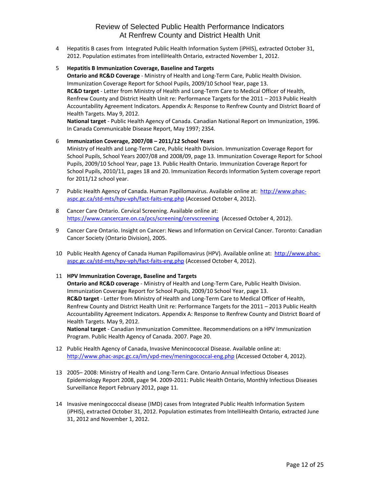- 4 Hepatitis B cases from Integrated Public Health Information System (iPHIS), extracted October 31, 2012. Population estimates from intelliHealth Ontario, extracted November 1, 2012.
- 5 **Hepatitis B Immunization Coverage, Baseline and Targets**

**Ontario and RC&D Coverage** ‐ Ministry of Health and Long‐Term Care, Public Health Division. Immunization Coverage Report for School Pupils, 2009/10 School Year, page 13. **RC&D target** ‐ Letter from Ministry of Health and Long‐Term Care to Medical Officer of Health, Renfrew County and District Health Unit re: Performance Targets for the 2011 – 2013 Public Health Accountability Agreement Indicators. Appendix A: Response to Renfrew County and District Board of Health Targets. May 9, 2012.

**National target** ‐ Public Health Agency of Canada. Canadian National Report on Immunization, 1996. In Canada Communicable Disease Report, May 1997; 23S4.

#### 6 **Immunization Coverage, 2007/08 – 2011/12 School Years**

Ministry of Health and Long‐Term Care, Public Health Division. Immunization Coverage Report for School Pupils, School Years 2007/08 and 2008/09, page 13. Immunization Coverage Report for School Pupils, 2009/10 School Year, page 13. Public Health Ontario. Immunization Coverage Report for School Pupils, 2010/11, pages 18 and 20. Immunization Records Information System coverage report for 2011/12 school year.

- 7 Public Health Agency of Canada. Human Papillomavirus. Available online at: http://www.phacaspc.gc.ca/std‐mts/hpv‐vph/fact‐faits‐eng.php (Accessed October 4, 2012).
- 8 Cancer Care Ontario. Cervical Screening. Available online at: https://www.cancercare.on.ca/pcs/screening/cervscreening (Accessed October 4, 2012).
- 9 Cancer Care Ontario. Insight on Cancer: News and Information on Cervical Cancer. Toronto: Canadian Cancer Society (Ontario Division), 2005.
- 10 Public Health Agency of Canada Human Papillomavirus (HPV). Available online at: http://www.phac‐ aspc.gc.ca/std‐mts/hpv‐vph/fact‐faits‐eng.php (Accessed October 4, 2012).

#### 11 **HPV Immunization Coverage, Baseline and Targets**

**Ontario and RC&D coverage** ‐ Ministry of Health and Long‐Term Care, Public Health Division. Immunization Coverage Report for School Pupils, 2009/10 School Year, page 13. **RC&D target** ‐ Letter from Ministry of Health and Long‐Term Care to Medical Officer of Health, Renfrew County and District Health Unit re: Performance Targets for the 2011 – 2013 Public Health Accountability Agreement Indicators. Appendix A: Response to Renfrew County and District Board of Health Targets. May 9, 2012.

**National target** ‐ Canadian Immunization Committee. Recommendations on a HPV Immunization Program. Public Health Agency of Canada. 2007. Page 20.

- 12 Public Health Agency of Canada, Invasive Menincococcal Disease. Available online at: http://www.phac-aspc.gc.ca/im/vpd-mev/meningococcal-eng.php (Accessed October 4, 2012).
- 13 2005– 2008: Ministry of Health and Long-Term Care. Ontario Annual Infectious Diseases Epidemiology Report 2008, page 94. 2009‐2011: Public Health Ontario, Monthly Infectious Diseases Surveillance Report February 2012, page 11.
- 14 Invasive meningococcal disease (IMD) cases from Integrated Public Health Information System (iPHIS), extracted October 31, 2012. Population estimates from IntelliHealth Ontario, extracted June 31, 2012 and November 1, 2012.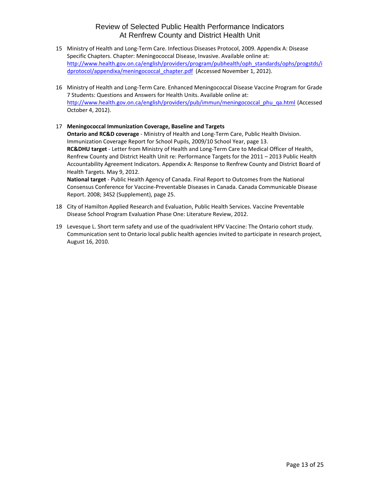- 15 Ministry of Health and Long‐Term Care. Infectious Diseases Protocol, 2009. Appendix A: Disease Specific Chapters. Chapter: Meningococcal Disease, Invasive. Available online at: http://www.health.gov.on.ca/english/providers/program/pubhealth/oph\_standards/ophs/progstds/i dprotocol/appendixa/meningococcal chapter.pdf (Accessed November 1, 2012).
- 16 Ministry of Health and Long‐Term Care. Enhanced Meningococcal Disease Vaccine Program for Grade 7 Students: Questions and Answers for Health Units. Available online at: http://www.health.gov.on.ca/english/providers/pub/immun/meningococcal\_phu\_qa.html (Accessed October 4, 2012).

#### 17 **Meningococcal Immunization Coverage, Baseline and Targets**

**Ontario and RC&D coverage** ‐ Ministry of Health and Long‐Term Care, Public Health Division. Immunization Coverage Report for School Pupils, 2009/10 School Year, page 13. **RC&DHU target** ‐ Letter from Ministry of Health and Long‐Term Care to Medical Officer of Health, Renfrew County and District Health Unit re: Performance Targets for the 2011 – 2013 Public Health Accountability Agreement Indicators. Appendix A: Response to Renfrew County and District Board of Health Targets. May 9, 2012.

**National target** ‐ Public Health Agency of Canada. Final Report to Outcomes from the National Consensus Conference for Vaccine‐Preventable Diseases in Canada. Canada Communicable Disease Report. 2008; 34S2 (Supplement), page 25.

- 18 City of Hamilton Applied Research and Evaluation, Public Health Services. Vaccine Preventable Disease School Program Evaluation Phase One: Literature Review, 2012.
- 19 Levesque L. Short term safety and use of the quadrivalent HPV Vaccine: The Ontario cohort study. Communication sent to Ontario local public health agencies invited to participate in research project, August 16, 2010.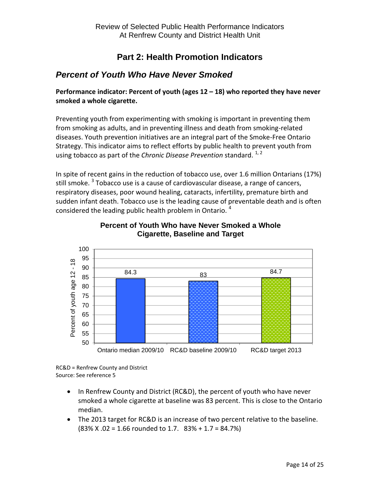# **Part 2: Health Promotion Indicators**

# *Percent of Youth Who Have Never Smoked*

# **Performance indicator: Percent of youth (ages 12 – 18) who reported they have never smoked a whole cigarette.**

Preventing youth from experimenting with smoking is important in preventing them from smoking as adults, and in preventing illness and death from smoking‐related diseases. Youth prevention initiatives are an integral part of the Smoke‐Free Ontario Strategy. This indicator aims to reflect efforts by public health to prevent youth from using tobacco as part of the *Chronic Disease Prevention* standard. 1, 2

In spite of recent gains in the reduction of tobacco use, over 1.6 million Ontarians (17%) still smoke. <sup>3</sup> Tobacco use is a cause of cardiovascular disease, a range of cancers, respiratory diseases, poor wound healing, cataracts, infertility, premature birth and sudden infant death. Tobacco use is the leading cause of preventable death and is often considered the leading public health problem in Ontario.<sup>4</sup>



### **Percent of Youth Who have Never Smoked a Whole Cigarette, Baseline and Target**

RC&D = Renfrew County and District Source: See reference 5

- In Renfrew County and District (RC&D), the percent of youth who have never smoked a whole cigarette at baseline was 83 percent. This is close to the Ontario median.
- The 2013 target for RC&D is an increase of two percent relative to the baseline.  $(83\% X .02 = 1.66$  rounded to 1.7.  $83\% + 1.7 = 84.7\%)$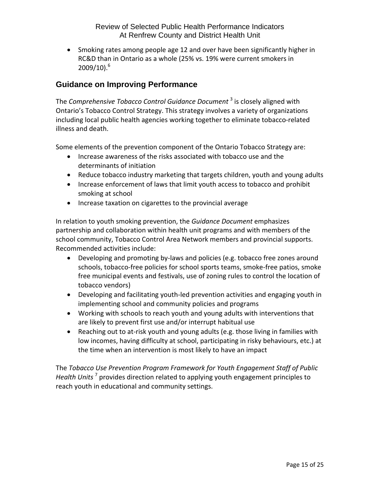• Smoking rates among people age 12 and over have been significantly higher in RC&D than in Ontario as a whole (25% vs. 19% were current smokers in  $2009/10$ <sup>6</sup>

# **Guidance on Improving Performance**

The *Comprehensive Tobacco Control Guidance Document* <sup>3</sup> is closely aligned with Ontario's Tobacco Control Strategy. This strategy involves a variety of organizations including local public health agencies working together to eliminate tobacco‐related illness and death.

Some elements of the prevention component of the Ontario Tobacco Strategy are:

- Increase awareness of the risks associated with tobacco use and the determinants of initiation
- Reduce tobacco industry marketing that targets children, youth and young adults
- Increase enforcement of laws that limit youth access to tobacco and prohibit smoking at school
- Increase taxation on cigarettes to the provincial average

In relation to youth smoking prevention, the *Guidance Document* emphasizes partnership and collaboration within health unit programs and with members of the school community, Tobacco Control Area Network members and provincial supports. Recommended activities include:

- Developing and promoting by-laws and policies (e.g. tobacco free zones around schools, tobacco‐free policies for school sports teams, smoke‐free patios, smoke free municipal events and festivals, use of zoning rules to control the location of tobacco vendors)
- Developing and facilitating youth‐led prevention activities and engaging youth in implementing school and community policies and programs
- Working with schools to reach youth and young adults with interventions that are likely to prevent first use and/or interrupt habitual use
- Reaching out to at‐risk youth and young adults (e.g. those living in families with low incomes, having difficulty at school, participating in risky behaviours, etc.) at the time when an intervention is most likely to have an impact

The *Tobacco Use Prevention Program Framework for Youth Engagement Staff of Public* Health Units<sup>7</sup> provides direction related to applying youth engagement principles to reach youth in educational and community settings.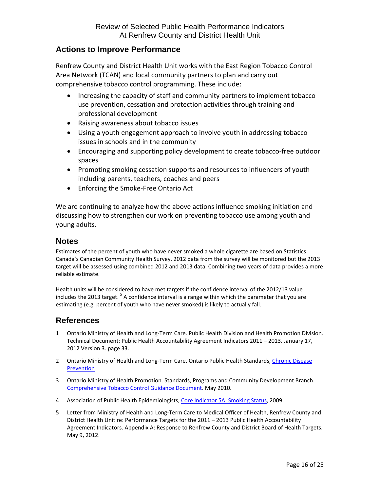# **Actions to Improve Performance**

Renfrew County and District Health Unit works with the East Region Tobacco Control Area Network (TCAN) and local community partners to plan and carry out comprehensive tobacco control programming. These include:

- Increasing the capacity of staff and community partners to implement tobacco use prevention, cessation and protection activities through training and professional development
- Raising awareness about tobacco issues
- Using a youth engagement approach to involve youth in addressing tobacco issues in schools and in the community
- Encouraging and supporting policy development to create tobacco‐free outdoor spaces
- Promoting smoking cessation supports and resources to influencers of youth including parents, teachers, coaches and peers
- Enforcing the Smoke‐Free Ontario Act

We are continuing to analyze how the above actions influence smoking initiation and discussing how to strengthen our work on preventing tobacco use among youth and young adults.

# **Notes**

Estimates of the percent of youth who have never smoked a whole cigarette are based on Statistics Canada's Canadian Community Health Survey. 2012 data from the survey will be monitored but the 2013 target will be assessed using combined 2012 and 2013 data. Combining two years of data provides a more reliable estimate.

Health units will be considered to have met targets if the confidence interval of the 2012/13 value includes the 2013 target.  $5$  A confidence interval is a range within which the parameter that you are estimating (e.g. percent of youth who have never smoked) is likely to actually fall.

# **References**

- 1 Ontario Ministry of Health and Long‐Term Care. Public Health Division and Health Promotion Division. Technical Document: Public Health Accountability Agreement Indicators 2011 – 2013. January 17, 2012 Version 3. page 33.
- 2 Ontario Ministry of Health and Long-Term Care. Ontario Public Health Standards, Chronic Disease Prevention
- 3 Ontario Ministry of Health Promotion. Standards, Programs and Community Development Branch. Comprehensive Tobacco Control Guidance Document. May 2010.
- 4 Association of Public Health Epidemiologists, Core Indicator 5A: Smoking Status, 2009
- 5 Letter from Ministry of Health and Long-Term Care to Medical Officer of Health, Renfrew County and District Health Unit re: Performance Targets for the 2011 – 2013 Public Health Accountability Agreement Indicators. Appendix A: Response to Renfrew County and District Board of Health Targets. May 9, 2012.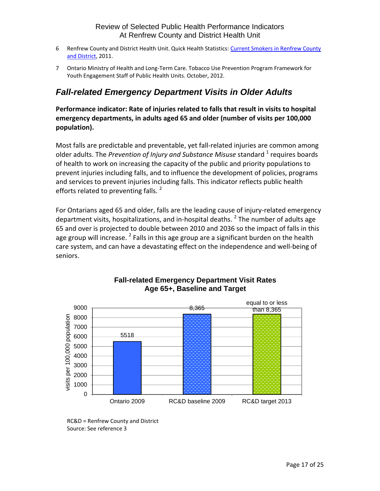- 6 Renfrew County and District Health Unit. Quick Health Statistics: Current Smokers in Renfrew County and District, 2011.
- 7 Ontario Ministry of Health and Long‐Term Care. Tobacco Use Prevention Program Framework for Youth Engagement Staff of Public Health Units. October, 2012.

# *Fall-related Emergency Department Visits in Older Adults*

**Performance indicator: Rate of injuries related to falls that result in visits to hospital emergency departments, in adults aged 65 and older (number of visits per 100,000 population).**

Most falls are predictable and preventable, yet fall‐related injuries are common among older adults. The *Prevention of Injury and Substance Misuse* standard <sup>1</sup> requires boards of health to work on increasing the capacity of the public and priority populations to prevent injuries including falls, and to influence the development of policies, programs and services to prevent injuries including falls. This indicator reflects public health efforts related to preventing falls.<sup>2</sup>

For Ontarians aged 65 and older, falls are the leading cause of injury‐related emergency department visits, hospitalizations, and in-hospital deaths. <sup>2</sup> The number of adults age 65 and over is projected to double between 2010 and 2036 so the impact of falls in this age group will increase. <sup>2</sup> Falls in this age group are a significant burden on the health care system, and can have a devastating effect on the independence and well‐being of seniors.



### **Fall-related Emergency Department Visit Rates Age 65+, Baseline and Target**

RC&D = Renfrew County and District Source: See reference 3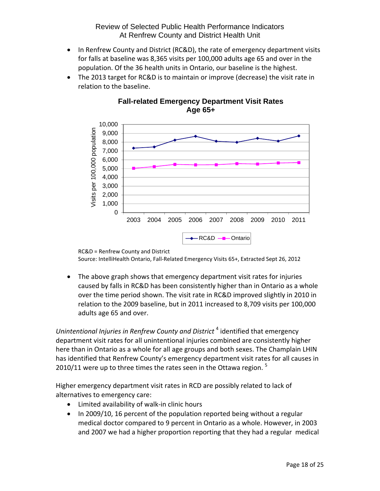- In Renfrew County and District (RC&D), the rate of emergency department visits for falls at baseline was 8,365 visits per 100,000 adults age 65 and over in the population. Of the 36 health units in Ontario, our baseline is the highest.
- The 2013 target for RC&D is to maintain or improve (decrease) the visit rate in relation to the baseline.



# **Fall-related Emergency Department Visit Rates Age 65+**

Source: IntelliHealth Ontario, Fall‐Related Emergency Visits 65+, Extracted Sept 26, 2012

• The above graph shows that emergency department visit rates for injuries caused by falls in RC&D has been consistently higher than in Ontario as a whole over the time period shown. The visit rate in RC&D improved slightly in 2010 in relation to the 2009 baseline, but in 2011 increased to 8,709 visits per 100,000 adults age 65 and over.

*Unintentional Injuries in Renfrew County and District* <sup>4</sup> identified that emergency department visit rates for all unintentional injuries combined are consistently higher here than in Ontario as a whole for all age groups and both sexes. The Champlain LHIN has identified that Renfrew County's emergency department visit rates for all causes in 2010/11 were up to three times the rates seen in the Ottawa region.  $5$ 

Higher emergency department visit rates in RCD are possibly related to lack of alternatives to emergency care:

- Limited availability of walk‐in clinic hours
- In 2009/10, 16 percent of the population reported being without a regular medical doctor compared to 9 percent in Ontario as a whole. However, in 2003 and 2007 we had a higher proportion reporting that they had a regular medical

RC&D = Renfrew County and District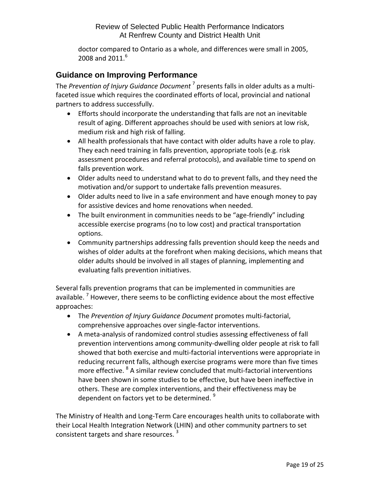doctor compared to Ontario as a whole, and differences were small in 2005, 2008 and  $2011.<sup>6</sup>$ 

# **Guidance on Improving Performance**

The *Prevention of Injury Guidance Document* <sup>7</sup> presents falls in older adults as a multi‐ faceted issue which requires the coordinated efforts of local, provincial and national partners to address successfully.

- Efforts should incorporate the understanding that falls are not an inevitable result of aging. Different approaches should be used with seniors at low risk, medium risk and high risk of falling.
- All health professionals that have contact with older adults have a role to play. They each need training in falls prevention, appropriate tools (e.g. risk assessment procedures and referral protocols), and available time to spend on falls prevention work.
- Older adults need to understand what to do to prevent falls, and they need the motivation and/or support to undertake falls prevention measures.
- Older adults need to live in a safe environment and have enough money to pay for assistive devices and home renovations when needed.
- The built environment in communities needs to be "age-friendly" including accessible exercise programs (no to low cost) and practical transportation options.
- Community partnerships addressing falls prevention should keep the needs and wishes of older adults at the forefront when making decisions, which means that older adults should be involved in all stages of planning, implementing and evaluating falls prevention initiatives.

Several falls prevention programs that can be implemented in communities are available.  $^7$  However, there seems to be conflicting evidence about the most effective approaches:

- The *Prevention of Injury Guidance Document* promotes multi‐factorial, comprehensive approaches over single‐factor interventions.
- A meta‐analysis of randomized control studies assessing effectiveness of fall prevention interventions among community‐dwelling older people at risk to fall showed that both exercise and multi‐factorial interventions were appropriate in reducing recurrent falls, although exercise programs were more than five times more effective. <sup>8</sup> A similar review concluded that multi-factorial interventions have been shown in some studies to be effective, but have been ineffective in others. These are complex interventions, and their effectiveness may be dependent on factors yet to be determined. <sup>9</sup>

The Ministry of Health and Long‐Term Care encourages health units to collaborate with their Local Health Integration Network (LHIN) and other community partners to set consistent targets and share resources.<sup>3</sup>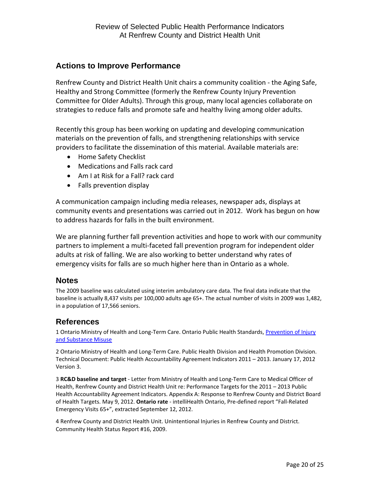# **Actions to Improve Performance**

Renfrew County and District Health Unit chairs a community coalition ‐ the Aging Safe, Healthy and Strong Committee (formerly the Renfrew County Injury Prevention Committee for Older Adults). Through this group, many local agencies collaborate on strategies to reduce falls and promote safe and healthy living among older adults.

Recently this group has been working on updating and developing communication materials on the prevention of falls, and strengthening relationships with service providers to facilitate the dissemination of this material. Available materials are:

- Home Safety Checklist
- Medications and Falls rack card
- Am I at Risk for a Fall? rack card
- Falls prevention display

A communication campaign including media releases, newspaper ads, displays at community events and presentations was carried out in 2012. Work has begun on how to address hazards for falls in the built environment.

We are planning further fall prevention activities and hope to work with our community partners to implement a multi‐faceted fall prevention program for independent older adults at risk of falling. We are also working to better understand why rates of emergency visits for falls are so much higher here than in Ontario as a whole.

# **Notes**

The 2009 baseline was calculated using interim ambulatory care data. The final data indicate that the baseline is actually 8,437 visits per 100,000 adults age 65+. The actual number of visits in 2009 was 1,482, in a population of 17,566 seniors.

# **References**

1 Ontario Ministry of Health and Long‐Term Care. Ontario Public Health Standards, Prevention of Injury and Substance Misuse

2 Ontario Ministry of Health and Long‐Term Care. Public Health Division and Health Promotion Division. Technical Document: Public Health Accountability Agreement Indicators 2011 – 2013. January 17, 2012 Version 3.

3 **RC&D baseline and target** ‐ Letter from Ministry of Health and Long‐Term Care to Medical Officer of Health, Renfrew County and District Health Unit re: Performance Targets for the 2011 – 2013 Public Health Accountability Agreement Indicators. Appendix A: Response to Renfrew County and District Board of Health Targets. May 9, 2012. **Ontario rate** ‐ intelliHealth Ontario, Pre‐defined report "Fall‐Related Emergency Visits 65+", extracted September 12, 2012.

4 Renfrew County and District Health Unit. Unintentional Injuries in Renfrew County and District. Community Health Status Report #16, 2009.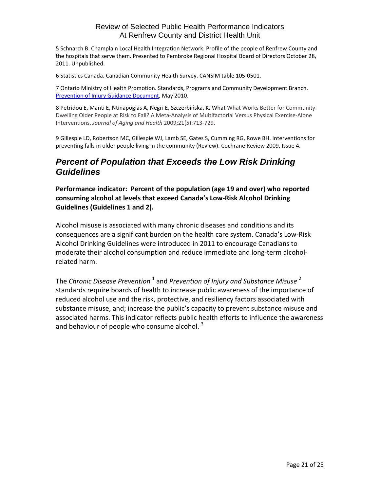5 Schnarch B. Champlain Local Health Integration Network. Profile of the people of Renfrew County and the hospitals that serve them. Presented to Pembroke Regional Hospital Board of Directors October 28, 2011. Unpublished.

6 Statistics Canada. Canadian Community Health Survey. CANSIM table 105‐0501.

7 Ontario Ministry of Health Promotion. Standards, Programs and Community Development Branch. Prevention of Injury Guidance Document, May 2010.

8 Petridou E, Manti E, Ntinapogias A, Negri E, Szczerbińska, K. What What Works Better for Community‐ Dwelling Older People at Risk to Fall? A Meta‐Analysis of Multifactorial Versus Physical Exercise‐Alone Interventions. *Journal of Aging and Health* 2009;21(5):713‐729.

9 Gillespie LD, Robertson MC, Gillespie WJ, Lamb SE, Gates S, Cumming RG, Rowe BH. Interventions for preventing falls in older people living in the community (Review). Cochrane Review 2009, Issue 4.

# *Percent of Population that Exceeds the Low Risk Drinking Guidelines*

**Performance indicator: Percent of the population (age 19 and over) who reported consuming alcohol at levels that exceed Canada's Low‐Risk Alcohol Drinking Guidelines (Guidelines 1 and 2).**

Alcohol misuse is associated with many chronic diseases and conditions and its consequences are a significant burden on the health care system. Canada's Low‐Risk Alcohol Drinking Guidelines were introduced in 2011 to encourage Canadians to moderate their alcohol consumption and reduce immediate and long‐term alcohol‐ related harm.

The *Chronic Disease Prevention* <sup>1</sup> and *Prevention of Injury and Substance Misuse* <sup>2</sup> standards require boards of health to increase public awareness of the importance of reduced alcohol use and the risk, protective, and resiliency factors associated with substance misuse, and; increase the public's capacity to prevent substance misuse and associated harms. This indicator reflects public health efforts to influence the awareness and behaviour of people who consume alcohol.  $3<sup>3</sup>$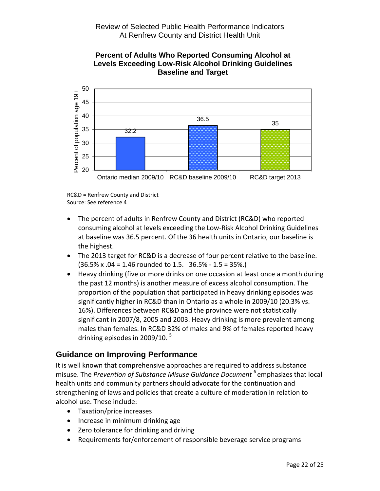

**Percent of Adults Who Reported Consuming Alcohol at Levels Exceeding Low-Risk Alcohol Drinking Guidelines Baseline and Target**

RC&D = Renfrew County and District Source: See reference 4

- The percent of adults in Renfrew County and District (RC&D) who reported consuming alcohol at levels exceeding the Low‐Risk Alcohol Drinking Guidelines at baseline was 36.5 percent. Of the 36 health units in Ontario, our baseline is the highest.
- The 2013 target for RC&D is a decrease of four percent relative to the baseline.  $(36.5\% \times .04 = 1.46$  rounded to 1.5. 36.5% - 1.5 = 35%.)
- Heavy drinking (five or more drinks on one occasion at least once a month during the past 12 months) is another measure of excess alcohol consumption. The proportion of the population that participated in heavy drinking episodes was significantly higher in RC&D than in Ontario as a whole in 2009/10 (20.3% vs. 16%). Differences between RC&D and the province were not statistically significant in 2007/8, 2005 and 2003. Heavy drinking is more prevalent among males than females. In RC&D 32% of males and 9% of females reported heavy drinking episodes in 2009/10.<sup>5</sup>

# **Guidance on Improving Performance**

It is well known that comprehensive approaches are required to address substance misuse. The *Prevention of Substance Misuse Guidance Document* 6 emphasizes that local health units and community partners should advocate for the continuation and strengthening of laws and policies that create a culture of moderation in relation to alcohol use. These include:

- Taxation/price increases
- Increase in minimum drinking age
- Zero tolerance for drinking and driving
- Requirements for/enforcement of responsible beverage service programs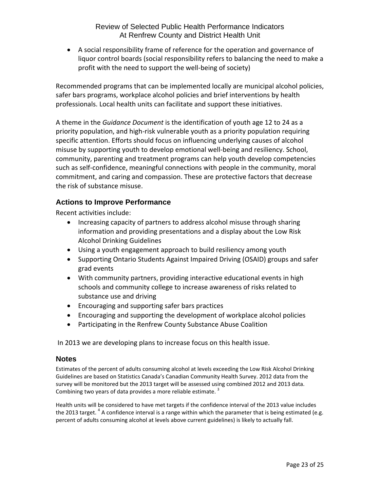• A social responsibility frame of reference for the operation and governance of liquor control boards (social responsibility refers to balancing the need to make a profit with the need to support the well‐being of society)

Recommended programs that can be implemented locally are municipal alcohol policies, safer bars programs, workplace alcohol policies and brief interventions by health professionals. Local health units can facilitate and support these initiatives.

A theme in the *Guidance Document* is the identification of youth age 12 to 24 as a priority population, and high‐risk vulnerable youth as a priority population requiring specific attention. Efforts should focus on influencing underlying causes of alcohol misuse by supporting youth to develop emotional well‐being and resiliency. School, community, parenting and treatment programs can help youth develop competencies such as self‐confidence, meaningful connections with people in the community, moral commitment, and caring and compassion. These are protective factors that decrease the risk of substance misuse.

# **Actions to Improve Performance**

Recent activities include:

- Increasing capacity of partners to address alcohol misuse through sharing information and providing presentations and a display about the Low Risk Alcohol Drinking Guidelines
- Using a youth engagement approach to build resiliency among youth
- Supporting Ontario Students Against Impaired Driving (OSAID) groups and safer grad events
- With community partners, providing interactive educational events in high schools and community college to increase awareness of risks related to substance use and driving
- Encouraging and supporting safer bars practices
- Encouraging and supporting the development of workplace alcohol policies
- Participating in the Renfrew County Substance Abuse Coalition

In 2013 we are developing plans to increase focus on this health issue.

### **Notes**

Estimates of the percent of adults consuming alcohol at levels exceeding the Low Risk Alcohol Drinking Guidelines are based on Statistics Canada's Canadian Community Health Survey. 2012 data from the survey will be monitored but the 2013 target will be assessed using combined 2012 and 2013 data. Combining two years of data provides a more reliable estimate.<sup>3</sup>

Health units will be considered to have met targets if the confidence interval of the 2013 value includes the 2013 target.  $^4$  A confidence interval is a range within which the parameter that is being estimated (e.g. percent of adults consuming alcohol at levels above current guidelines) is likely to actually fall.